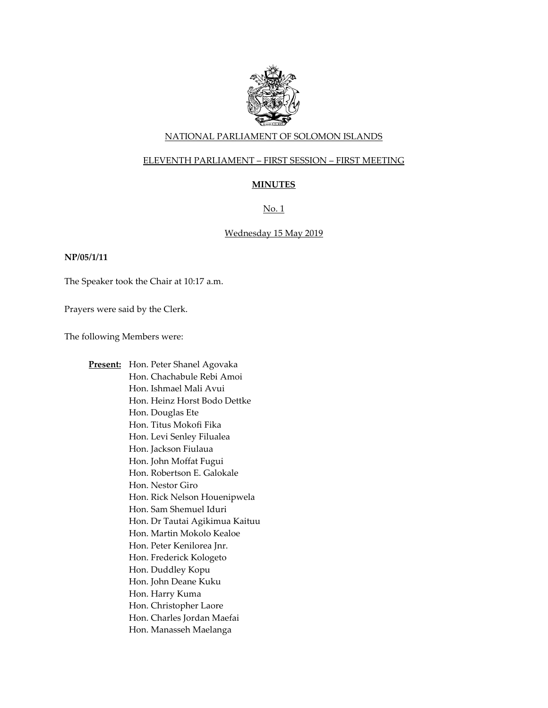

#### NATIONAL PARLIAMENT OF SOLOMON ISLANDS

#### ELEVENTH PARLIAMENT – FIRST SESSION – FIRST MEETING

# **MINUTES**

# No. 1

#### Wednesday 15 May 2019

#### **NP/05/1/11**

The Speaker took the Chair at 10:17 a.m.

Prayers were said by the Clerk.

The following Members were:

**Present:** Hon. Peter Shanel Agovaka Hon. Chachabule Rebi Amoi Hon. Ishmael Mali Avui Hon. Heinz Horst Bodo Dettke Hon. Douglas Ete Hon. Titus Mokofi Fika Hon. Levi Senley Filualea Hon. Jackson Fiulaua Hon. John Moffat Fugui Hon. Robertson E. Galokale Hon. Nestor Giro Hon. Rick Nelson Houenipwela Hon. Sam Shemuel Iduri Hon. Dr Tautai Agikimua Kaituu Hon. Martin Mokolo Kealoe Hon. Peter Kenilorea Jnr. Hon. Frederick Kologeto Hon. Duddley Kopu Hon. John Deane Kuku Hon. Harry Kuma Hon. Christopher Laore Hon. Charles Jordan Maefai Hon. Manasseh Maelanga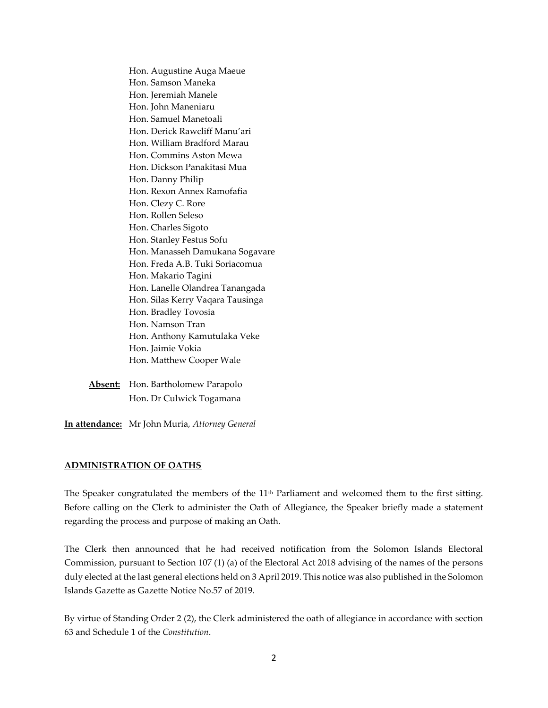Hon. Augustine Auga Maeue Hon. Samson Maneka Hon. Jeremiah Manele Hon. John Maneniaru Hon. Samuel Manetoali Hon. Derick Rawcliff Manu'ari Hon. William Bradford Marau Hon. Commins Aston Mewa Hon. Dickson Panakitasi Mua Hon. Danny Philip Hon. Rexon Annex Ramofafia Hon. Clezy C. Rore Hon. Rollen Seleso Hon. Charles Sigoto Hon. Stanley Festus Sofu Hon. Manasseh Damukana Sogavare Hon. Freda A.B. Tuki Soriacomua Hon. Makario Tagini Hon. Lanelle Olandrea Tanangada Hon. Silas Kerry Vaqara Tausinga Hon. Bradley Tovosia Hon. Namson Tran Hon. Anthony Kamutulaka Veke Hon. Jaimie Vokia Hon. Matthew Cooper Wale

**Absent:** Hon. Bartholomew Parapolo Hon. Dr Culwick Togamana

**In attendance:** Mr John Muria, *Attorney General*

#### **ADMINISTRATION OF OATHS**

The Speaker congratulated the members of the 11<sup>th</sup> Parliament and welcomed them to the first sitting. Before calling on the Clerk to administer the Oath of Allegiance, the Speaker briefly made a statement regarding the process and purpose of making an Oath.

The Clerk then announced that he had received notification from the Solomon Islands Electoral Commission, pursuant to Section 107 (1) (a) of the Electoral Act 2018 advising of the names of the persons duly elected at the last general elections held on 3 April 2019. This notice was also published in the Solomon Islands Gazette as Gazette Notice No.57 of 2019.

By virtue of Standing Order 2 (2), the Clerk administered the oath of allegiance in accordance with section 63 and Schedule 1 of the *Constitution*.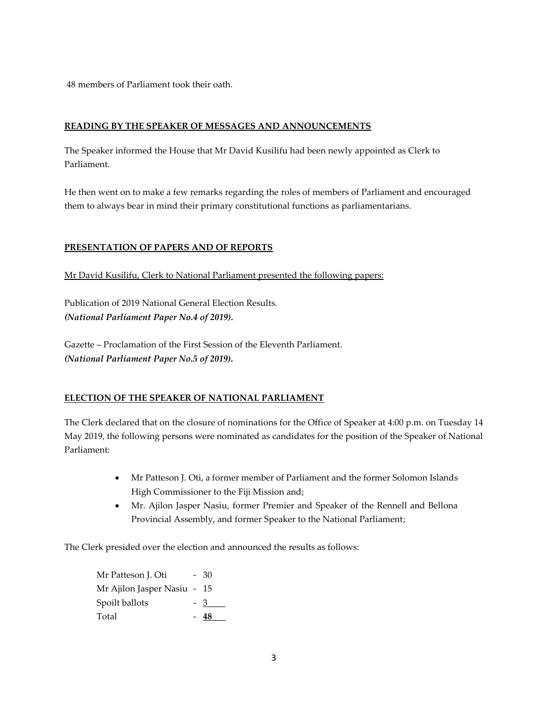48 members of Parliament took their oath.

#### **READING BY THE SPEAKER OF MESSAGES AND ANNOUNCEMENTS**

The Speaker informed the House that Mr David Kusilifu had been newly appointed as Clerk to Parliament.

He then went on to make a few remarks regarding the roles of members of Parliament and encouraged them to always bear in mind their primary constitutional functions as parliamentarians.

# **PRESENTATION OF PAPERS AND OF REPORTS**

Mr David Kusilifu, Clerk to National Parliament presented the following papers:

Publication of 2019 National General Election Results. *(National Parliament Paper No.4 of 2019).*

Gazette – Proclamation of the First Session of the Eleventh Parliament. *(National Parliament Paper No.5 of 2019).*

# **ELECTION OF THE SPEAKER OF NATIONAL PARLIAMENT**

The Clerk declared that on the closure of nominations for the Office of Speaker at 4:00 p.m. on Tuesday 14 May 2019, the following persons were nominated as candidates for the position of the Speaker of National Parliament:

- Mr Patteson J. Oti, a former member of Parliament and the former Solomon Islands High Commissioner to the Fiji Mission and;
- Mr. Ajilon Jasper Nasiu, former Premier and Speaker of the Rennell and Bellona Provincial Assembly, and former Speaker to the National Parliament;

The Clerk presided over the election and announced the results as follows:

Mr Patteson J. Oti - 30 Mr Ajilon Jasper Nasiu - 15 Spoilt ballots - 3\_\_\_\_\_ Total - **48\_\_\_**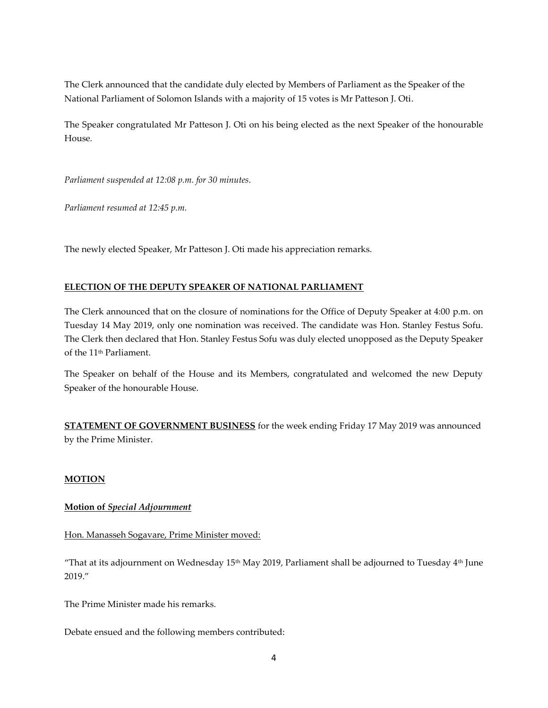The Clerk announced that the candidate duly elected by Members of Parliament as the Speaker of the National Parliament of Solomon Islands with a majority of 15 votes is Mr Patteson J. Oti.

The Speaker congratulated Mr Patteson J. Oti on his being elected as the next Speaker of the honourable House*.*

*Parliament suspended at 12:08 p.m. for 30 minutes.*

*Parliament resumed at 12:45 p.m.* 

The newly elected Speaker, Mr Patteson J. Oti made his appreciation remarks.

# **ELECTION OF THE DEPUTY SPEAKER OF NATIONAL PARLIAMENT**

The Clerk announced that on the closure of nominations for the Office of Deputy Speaker at 4:00 p.m. on Tuesday 14 May 2019, only one nomination was received. The candidate was Hon. Stanley Festus Sofu. The Clerk then declared that Hon. Stanley Festus Sofu was duly elected unopposed as the Deputy Speaker of the 11th Parliament.

The Speaker on behalf of the House and its Members, congratulated and welcomed the new Deputy Speaker of the honourable House.

**STATEMENT OF GOVERNMENT BUSINESS** for the week ending Friday 17 May 2019 was announced by the Prime Minister.

# **MOTION**

# **Motion of** *Special Adjournment*

#### Hon. Manasseh Sogavare, Prime Minister moved:

"That at its adjournment on Wednesday  $15<sup>th</sup>$  May 2019, Parliament shall be adjourned to Tuesday  $4<sup>th</sup>$  June 2019."

The Prime Minister made his remarks.

Debate ensued and the following members contributed: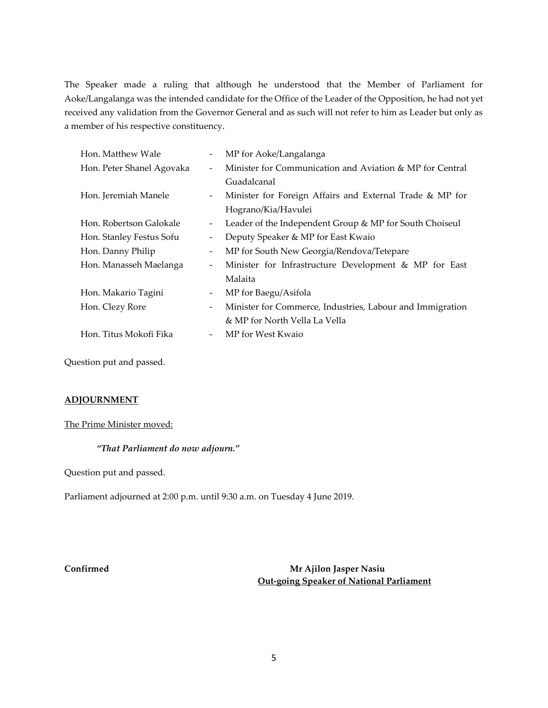The Speaker made a ruling that although he understood that the Member of Parliament for Aoke/Langalanga was the intended candidate for the Office of the Leader of the Opposition, he had not yet received any validation from the Governor General and as such will not refer to him as Leader but only as a member of his respective constituency.

| Hon. Matthew Wale         |                          | MP for Aoke/Langalanga                                    |
|---------------------------|--------------------------|-----------------------------------------------------------|
| Hon. Peter Shanel Agovaka |                          | Minister for Communication and Aviation & MP for Central  |
|                           |                          | Guadalcanal                                               |
| Hon. Jeremiah Manele      | $\overline{\phantom{a}}$ | Minister for Foreign Affairs and External Trade & MP for  |
|                           |                          | Hograno/Kia/Havulei                                       |
| Hon. Robertson Galokale   | $\overline{\phantom{a}}$ | Leader of the Independent Group & MP for South Choiseul   |
| Hon. Stanley Festus Sofu  | $\overline{\phantom{a}}$ | Deputy Speaker & MP for East Kwaio                        |
| Hon. Danny Philip         | $\overline{\phantom{a}}$ | MP for South New Georgia/Rendova/Tetepare                 |
| Hon. Manasseh Maelanga    | -                        | Minister for Infrastructure Development & MP for East     |
|                           |                          | Malaita                                                   |
| Hon. Makario Tagini       |                          | MP for Baegu/Asifola                                      |
| Hon. Clezy Rore           | $\overline{\phantom{a}}$ | Minister for Commerce, Industries, Labour and Immigration |
|                           |                          | & MP for North Vella La Vella                             |
| Hon. Titus Mokofi Fika    |                          | MP for West Kwaio                                         |
|                           |                          |                                                           |

Question put and passed.

# **ADJOURNMENT**

#### The Prime Minister moved:

#### *"That Parliament do now adjourn."*

Question put and passed.

Parliament adjourned at 2:00 p.m. until 9:30 a.m. on Tuesday 4 June 2019.

**Confirmed Mr Ajilon Jasper Nasiu Out-going Speaker of National Parliament**